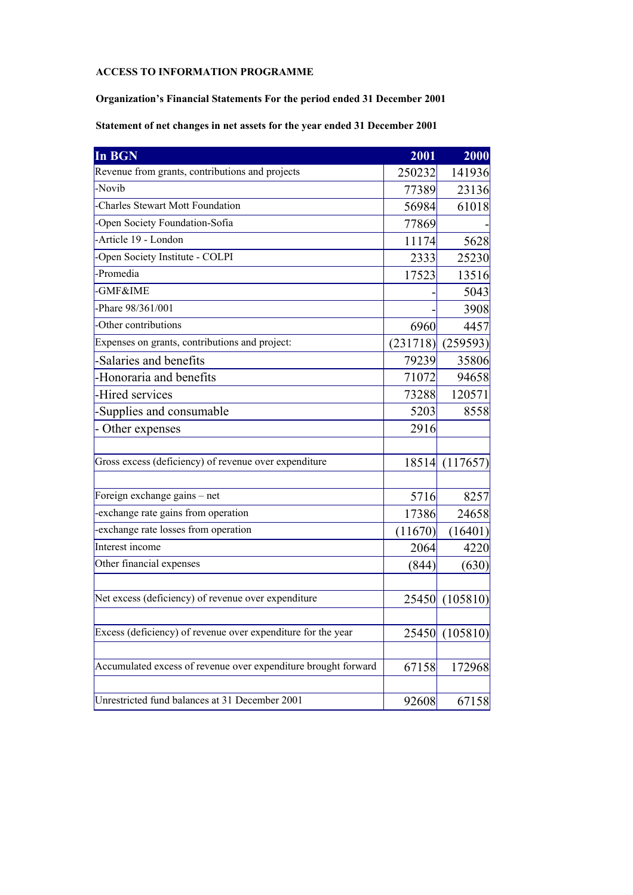## **ACCESS TO INFORMATION PROGRAMME**

**Organization's Financial Statements For the period ended 31 December 2001** 

**Statement of net changes in net assets for the year ended 31 December 2001** 

| In BGN                                                         | 2001     | 2000           |
|----------------------------------------------------------------|----------|----------------|
| Revenue from grants, contributions and projects                | 250232   | 141936         |
| -Novib                                                         | 77389    | 23136          |
| Charles Stewart Mott Foundation                                | 56984    | 61018          |
| -Open Society Foundation-Sofia                                 | 77869    |                |
| -Article 19 - London                                           | 11174    | 5628           |
| -Open Society Institute - COLPI                                | 2333     | 25230          |
| -Promedia                                                      | 17523    | 13516          |
| -GMF&IME                                                       |          | 5043           |
| -Phare 98/361/001                                              |          | 3908           |
| -Other contributions                                           | 6960     | 4457           |
| Expenses on grants, contributions and project:                 | (231718) | (259593)       |
| -Salaries and benefits                                         | 79239    | 35806          |
| -Honoraria and benefits                                        | 71072    | 94658          |
| -Hired services                                                | 73288    | 120571         |
| -Supplies and consumable                                       | 5203     | 8558           |
| - Other expenses                                               | 2916     |                |
| Gross excess (deficiency) of revenue over expenditure          |          | 18514 (117657) |
| Foreign exchange gains - net                                   | 5716     | 8257           |
| -exchange rate gains from operation                            | 17386    | 24658          |
| exchange rate losses from operation                            | (11670)  | (16401)        |
| Interest income                                                | 2064     | 4220           |
| Other financial expenses                                       | (844)    | (630)          |
| Net excess (deficiency) of revenue over expenditure            |          | 25450 (105810) |
|                                                                |          |                |
| Excess (deficiency) of revenue over expenditure for the year   | 25450    | (105810)       |
| Accumulated excess of revenue over expenditure brought forward | 67158    | 172968         |
| Unrestricted fund balances at 31 December 2001                 | 92608    | 67158          |